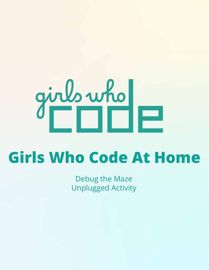# $9^{\text{in}}$

# **Girls Who Code At Home**

Debug the Maze Unplugged Activity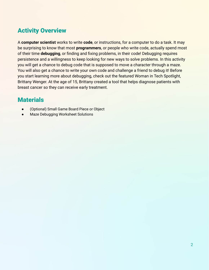# Activity Overview

A **computer scientist** works to write **code**, or instructions, for a computer to do a task. It may be surprising to know that most **programmers**, or people who write code, actually spend most of their time **debugging**, or finding and fixing problems, in their code! Debugging requires persistence and a willingness to keep looking for new ways to solve problems. In this activity you will get a chance to debug code that is supposed to move a character through a maze. You will also get a chance to write your own code and challenge a friend to debug it! Before you start learning more about debugging, check out the featured Woman in Tech Spotlight, Brittany Wenger. At the age of 15, Brittany created a tool that helps diagnose patients with breast cancer so they can receive early treatment.

# **Materials**

- (Optional) Small Game Board Piece or Object
- Maze Debugging Worksheet Solutions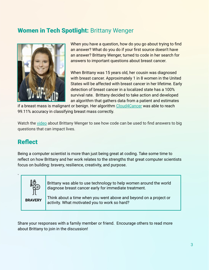# Women in Tech Spotlight: Brittany Wenger



When you have a question, how do you go about trying to find an answer? What do you do if your first source doesn't have an answer? Brittany Wenger, turned to code in her search for answers to important questions about breast cancer.

When Brittany was 15 years old, her cousin was diagnosed with breast cancer. Approximately 1 in 8 women in the United States will be affected with breast cancer in her lifetime. Early detection of breast cancer in a localized state has a 100% survival rate. Brittany decided to take action and developed an algorithm that gathers data from a patient and estimates

if a breast mass is malignant or benign. Her algorithm [Cloud4Cancer](https://cloud4cancer.appspot.com/) was able to reach 99.11% accuracy in classifying breast mass correctly.

Watch the [video](https://youtu.be/DcSWmoiLhzY) about Brittany Wenger to see how code can be used to find answers to big questions that can impact lives.

# Reflect

Being a computer scientist is more than just being great at coding. Take some time to reflect on how Brittany and her work relates to the strengths that great computer scientists focus on building: bravery, resilience, creativity, and purpose.



`

Brittany was able to use technology to help women around the world diagnose breast cancer early for immediate treatment.

**BRAVERY**

Think about a time when you went above and beyond on a project or activity. What motivated you to work so hard?

Share your responses with a family member or friend. Encourage others to read more about Brittany to join in the discussion!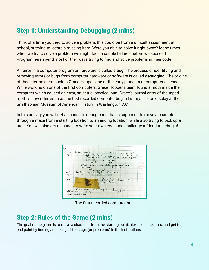# Step 1: Understanding Debugging (2 mins)

Think of a time you tried to solve a problem, this could be from a difficult assignment at school, or trying to locate a missing item. Were you able to solve it right away? Many times when we try to solve a problem we might face a couple failures before we succeed. Programmers spend most of their days trying to find and solve problems in their code.

An error in a computer program or hardware is called a **bug.** The process of identifying and removing errors or bugs from computer hardware or software is called **debugging**. The origins of these terms stem back to Grace Hopper, one of the early pioneers of computer science. While working on one of the first computers, Grace Hopper's team found a moth inside the computer which caused an error, an actual physical bug! Grace's journal entry of the taped moth is now referred to as the first recorded computer bug in history. It is on display at the Smithsonian Museum of American History in Washington D.C.

In this activity you will get a chance to debug code that is supposed to move a character through a maze from a starting location to an ending location, while also trying to pick up a star. You will also get a chance to write your own code and challenge a friend to debug it!



The first recorded computer bug

# **Step 2: Rules of the Game (2 mins)**

The goal of the game is to move a character from the starting point, pick up all the stars, and get to the end point by finding and fixing all the **bugs** (or problems) in the instructions.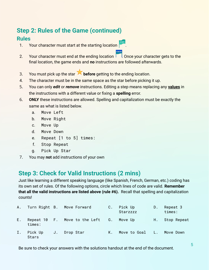# **Step 2: Rules of the Game (continued)**

## **Rules**

- 1. Your character must start at the starting location
- 2. Your character must end at the ending location **1** Once your character gets to the final location, the game ends and **no** instructions are followed afterwards.
- 3. You must pick up the star **before** getting to the ending location.
- 4. The character must be in the same space as the star before picking it up.
- 5. You can only *edit* or *remove* instructions. Editing a step means replacing any **values** in the instructions with a different value or fixing a **spelling** error.
- 6. **ONLY** these instructions are allowed. Spelling and capitalization must be exactly the same as what is listed below.
	- a. Move Left
	- b. Move Right
	- c. Move Up
	- d. Move Down
	- e. Repeat [1 to 5] times:
	- f. Stop Repeat
	- g. Pick Up Star
- 7. You may **not** add instructions of your own

# **Step 3: Check for Valid Instructions (2 mins)**

Just like learning a different speaking language (like Spanish, French, German, etc.) coding has its own set of rules. Of the following options, circle which lines of code are valid. **Remember that all the valid instructions are listed above (rule #6).** Recall that spelling and capitalization counts!

|    |                  |             | A. Turn Right B. Move Forward    | C. | Pick Up<br>Starzzzz | D.  | Repeat 3<br>times: |
|----|------------------|-------------|----------------------------------|----|---------------------|-----|--------------------|
| Ε. | times:           |             | Repeat 10 F. Move to the Left G. |    | Move Up             | H., | Stop Repeat        |
| Ι. | Pick Up<br>Stars | $J_{\star}$ | Drop Star                        | K. | Move to Goal L.     |     | Move Down          |

Be sure to check your answers with the solutions handout at the end of the document.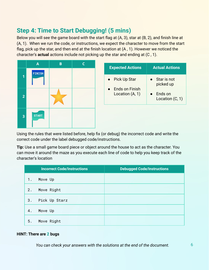# **Step 4: Time to Start Debugging! (5 mins)**

Below you will see the game board with the start flag at (A, 3), star at (B, 2), and finish line at (A, 1). When we run the code, or instructions, we expect the character to move from the start flag, pick up the star, and then end at the finish location at (A, 1). However we noticed the character's **actual** actions include not picking up the star and ending at (C , 1).



| <b>Expected Actions</b>           | <b>Actual Actions</b>             |
|-----------------------------------|-----------------------------------|
| <b>Pick Up Star</b>               | Star is not<br>picked up          |
| Ends on Finish<br>Location (A, 1) | <b>Ends on</b><br>Location (C, 1) |

Using the rules that were listed before, help fix (or debug) the incorrect code and write the correct code under the label debugged code/instructions.

**Tip:** Use a small game board piece or object around the house to act as the character. You can move it around the maze as you execute each line of code to help you keep track of the character's location

|                  | <b>Incorrect Code/Instructions</b> | <b>Debugged Code/Instructions</b> |  |  |
|------------------|------------------------------------|-----------------------------------|--|--|
| $\overline{1}$ . | Move Up                            |                                   |  |  |
| 2.               | Move Right                         |                                   |  |  |
| 3.               | Pick Up Starz                      |                                   |  |  |
| 4.               | Move Up                            |                                   |  |  |
| 5.               | Move Right                         |                                   |  |  |

### **HINT: There are 2 bugs**

*You can check your answers with the solutions at the end of the document.*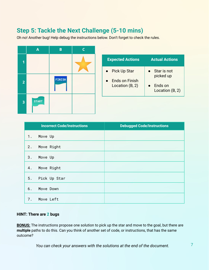# **Step 5: Tackle the Next Challenge (5-10 mins)**

Oh no! Another bug! Help debug the instructions below. Don't forget to check the rules.

|                         | $\mathsf{A}$ | $\mathbf B$   | C |
|-------------------------|--------------|---------------|---|
| 1                       |              |               |   |
| $\overline{2}$          |              | <b>FINISH</b> |   |
| $\overline{\mathbf{3}}$ | <b>START</b> |               |   |

| <b>Expected Actions</b>           | <b>Actual Actions</b>      |
|-----------------------------------|----------------------------|
| <b>Pick Up Star</b>               | Star is not<br>picked up   |
| Ends on Finish<br>Location (B, 2) | Ends on<br>Location (B, 2) |

| <b>Incorrect Code/Instructions</b> | <b>Debugged Code/Instructions</b> |
|------------------------------------|-----------------------------------|
| 1.<br>Move Up                      |                                   |
| 2.<br>Move Right                   |                                   |
| 3.<br>Move Up                      |                                   |
| Move Right<br>4.                   |                                   |
| Pick Up Star<br>5.                 |                                   |
| 6.<br>Move Down                    |                                   |
| Move Left<br>7.                    |                                   |

### **HINT: There are 2 bugs**

**BONUS:** The instructions propose one solution to pick up the star and move to the goal, but there are **multiple** paths to do this. Can you think of another set of code, or instructions, that has the same outcome?

*You can check your answers with the solutions at the end of the document.*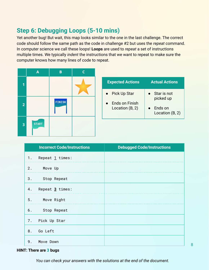# **Step 6: Debugging Loops (5-10 mins)**

Yet another bug! But wait, this map looks similar to the one in the last challenge. The correct code should follow the same path as the code in challenge #2 but uses the *repeat* command. In computer science we call these loops! **Loops** are used to *repeat* a set of instructions multiple times. We typically *indent* the instructions that we want to repeat to make sure the computer knows how many lines of code to repeat.

|                         | $\mathsf{A}$ | B             | C |
|-------------------------|--------------|---------------|---|
| $\overline{\mathbf{1}}$ |              |               |   |
| $\overline{2}$          |              | <b>FINISH</b> |   |
| $\overline{\mathbf{3}}$ | <b>START</b> |               |   |

| <b>Expected Actions</b>                                  | <b>Actual Actions</b>                                  |
|----------------------------------------------------------|--------------------------------------------------------|
| <b>Pick Up Star</b><br>Ends on Finish<br>Location (B, 2) | Star is not<br>picked up<br>Ends on<br>Location (B, 2) |

| <b>Incorrect Code/Instructions</b> | <b>Debugged Code/Instructions</b> |
|------------------------------------|-----------------------------------|
| Repeat <u>1</u> times:<br>1.       |                                   |
| 2. Move Up                         |                                   |
| 3. Stop Repeat                     |                                   |
| Repeat 3 times:<br>4.              |                                   |
| 5. Move Right                      |                                   |
| 6. Stop Repeat                     |                                   |
| 7. Pick Up Star                    |                                   |
| 8. Go Left                         |                                   |
| Move Down<br>9.                    |                                   |

### **HINT: There are 3 bugs**

*You can check your answers with the solutions at the end of the document.*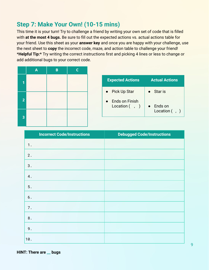# **Step 7: Make Your Own! (10-15 mins)**

This time it is your turn! Try to challenge a friend by writing your own set of code that is filled with **at the most 4 bugs.** Be sure to fill out the expected actions vs. actual actions table for your friend. Use this sheet as your **answer key** and once you are happy with your challenge, use the next sheet to **copy** the incorrect code, maze, and action table to challenge your friend! \***Helpful Tip:\*** Try writing the correct instructions first and picking 4 lines or less to change or add additional bugs to your correct code.

|                         | $\boldsymbol{\mathsf{A}}$ | $\mathbf B$ | $\mathsf{C}$ |
|-------------------------|---------------------------|-------------|--------------|
| 1                       |                           |             |              |
| $\overline{2}$          |                           |             |              |
| $\overline{\mathbf{3}}$ |                           |             |              |

| <b>Expected Actions</b>            | <b>Actual Actions</b>         |
|------------------------------------|-------------------------------|
| • Pick Up Star                     | – Star is                     |
| Ends on Finish<br>Location $( , )$ | Ends on<br>Location $($ , $)$ |

| <b>Incorrect Code/Instructions</b> | <b>Debugged Code/Instructions</b> |  |
|------------------------------------|-----------------------------------|--|
| 1.                                 |                                   |  |
| 2.                                 |                                   |  |
| $\sqrt{3}$ .                       |                                   |  |
| 4.                                 |                                   |  |
| $5.$                               |                                   |  |
| $\mathbf 6$ .                      |                                   |  |
| 7.                                 |                                   |  |
| $\bf 8$ .                          |                                   |  |
| 9.                                 |                                   |  |
| 10.                                |                                   |  |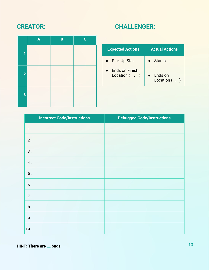# **CREATOR: CHALLENGER:**

|                         | $\mathbf{A}$ | B | $\mathsf{C}$ |
|-------------------------|--------------|---|--------------|
| $\overline{\mathbf{1}}$ |              |   |              |
| $\overline{2}$          |              |   |              |
| $\overline{\mathbf{3}}$ |              |   |              |

| <b>Expected Actions</b>              | <b>Actual Actions</b>         |
|--------------------------------------|-------------------------------|
| • Pick Up Star                       | Star is                       |
| Ends on Finish<br>Location $($ , $)$ | Ends on<br>Location $($ , $)$ |

| <b>Incorrect Code/Instructions</b> | <b>Debugged Code/Instructions</b> |
|------------------------------------|-----------------------------------|
| 1.                                 |                                   |
| 2.                                 |                                   |
| $3$ .                              |                                   |
| $4$ .                              |                                   |
| $5.$                               |                                   |
| $\mathbf 6$ .                      |                                   |
| 7.                                 |                                   |
| $\bf 8$ .                          |                                   |
| $9$ .                              |                                   |
| 10.                                |                                   |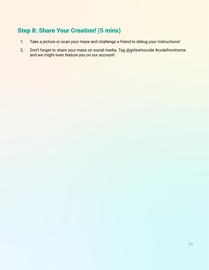# Step 8: Share Your Creation! (5 mins)

- 1. Take a picture or scan your maze and challenge a friend to debug your instructions!
- 2. Don't forget to share your maze on social media. Tag @girlswhocode #codefromhome and we might even feature you on our account!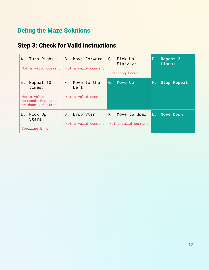# Debug the Maze Solutions

# Step 3: Check for Valid Instructions

| A. Turn Right<br>Not a valid command                                                  | <b>B.</b> Move Forward<br>Not a valid command | C. Pick Up<br>Starzzzz<br>Spelling Error | Repeat 3<br>D.<br>times: |
|---------------------------------------------------------------------------------------|-----------------------------------------------|------------------------------------------|--------------------------|
| Ε.<br>Repeat 10<br>times:<br>Not a valid<br>command. Repeat can<br>be done 1-5 times. | F. Move to the<br>Left<br>Not a valid command | G. Move Up                               | <b>Stop Repeat</b><br>Н. |
| Ι.<br>Pick Up<br><b>Stars</b><br>Spelling Error                                       | J. Drop Star<br>Not a valid command           | K. Move to Goal<br>Not a valid command   | L. Move Down             |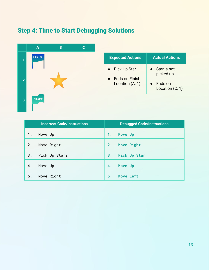# Step 4: Time to Start Debugging Solutions



| <b>Expected Actions</b>                           | <b>Actual Actions</b>                                    |
|---------------------------------------------------|----------------------------------------------------------|
| Pick Up Star<br>Ends on Finish<br>Location (A, 1) | • Star is not<br>picked up<br>Ends on<br>Location (C, 1) |
|                                                   |                                                          |

|       | <b>Incorrect Code/Instructions</b> |    | <b>Debugged Code/Instructions</b> |
|-------|------------------------------------|----|-----------------------------------|
| $1$ . | Move Up                            | 1. | Move Up                           |
| 2.    | Move Right                         | 2. | <b>Move Right</b>                 |
| 3.    | Pick Up Starz                      | 3. | Pick Up Star                      |
| 4.    | Move Up                            | 4. | Move Up                           |
| 5.    | Move Right                         | 5. | Move Left                         |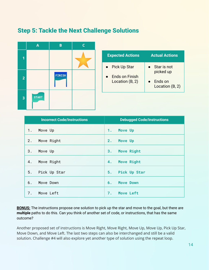# Step 5: Tackle the Next Challenge Solutions



| <b>Expected Actions</b>                                    | <b>Actual Actions</b>                                         |
|------------------------------------------------------------|---------------------------------------------------------------|
| • Pick Up Star<br><b>Ends on Finish</b><br>Location (B, 2) | Star is not<br>picked up<br><b>Ends on</b><br>Location (B, 2) |
|                                                            |                                                               |

|    | <b>Incorrect Code/Instructions</b> |     | <b>Debugged Code/Instructions</b> |
|----|------------------------------------|-----|-----------------------------------|
| 1. | Move Up                            | 1.  | Move Up                           |
| 2. | Move Right                         | 2.  | Move Up                           |
| 3. | Move Up                            | 3.7 | <b>Move Right</b>                 |
| 4. | Move Right                         | 4.  | <b>Move Right</b>                 |
| 5. | Pick Up Star                       | 5.  | Pick Up Star                      |
| 6. | Move Down                          | 6.  | <b>Move Down</b>                  |
| 7. | Move Left                          | 7.  | <b>Move Left</b>                  |

**BONUS:** The instructions propose one solution to pick up the star and move to the goal, but there are **multiple** paths to do this. Can you think of another set of code, or instructions, that has the same outcome?

Another proposed set of instructions is Move Right, Move Right, Move Up, Move Up, Pick Up Star, Move Down, and Move Left. The last two steps can also be interchanged and still be a valid solution. Challenge #4 will also explore yet another type of solution using the repeat loop.